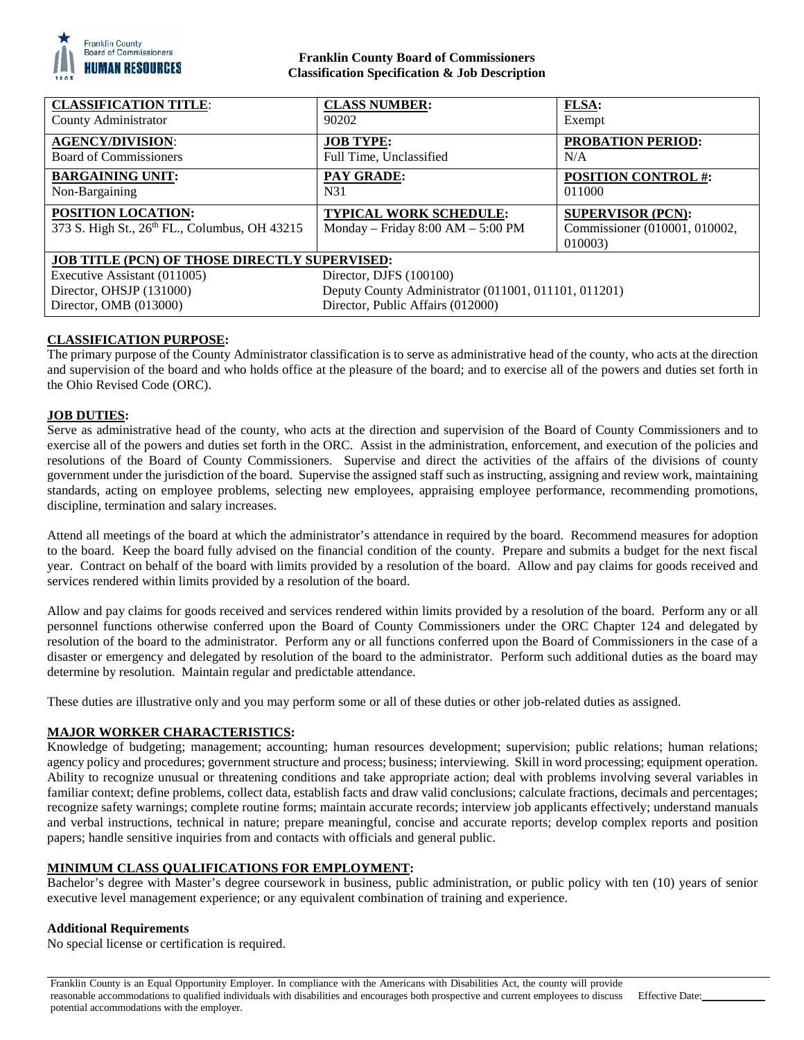

## **Franklin County Board of Commissioners Classification Specification & Job Description**

| <b>CLASSIFICATION TITLE:</b>                                               | <b>CLASS NUMBER:</b>                                                 | <b>FLSA:</b>                                                         |
|----------------------------------------------------------------------------|----------------------------------------------------------------------|----------------------------------------------------------------------|
| County Administrator                                                       | 90202                                                                | Exempt                                                               |
| <b>AGENCY/DIVISION:</b>                                                    | <b>JOB TYPE:</b>                                                     | <b>PROBATION PERIOD:</b>                                             |
| <b>Board of Commissioners</b>                                              | Full Time, Unclassified                                              | N/A                                                                  |
| <b>BARGAINING UNIT:</b>                                                    | <b>PAY GRADE:</b>                                                    | <b>POSITION CONTROL #:</b>                                           |
| Non-Bargaining                                                             | N31                                                                  | 011000                                                               |
| <b>POSITION LOCATION:</b><br>373 S. High St., 26th FL., Columbus, OH 43215 | <b>TYPICAL WORK SCHEDULE:</b><br>Monday – Friday $8:00 AM - 5:00 PM$ | <b>SUPERVISOR (PCN):</b><br>Commissioner (010001, 010002,<br>010003) |
| <b>JOB TITLE (PCN) OF THOSE DIRECTLY SUPERVISED:</b>                       |                                                                      |                                                                      |
| Executive Assistant (011005)                                               | Director, DJFS $(100100)$                                            |                                                                      |
| Director, OHSJP (131000)                                                   | Deputy County Administrator (011001, 011101, 011201)                 |                                                                      |
| Director, OMB (013000)                                                     | Director, Public Affairs (012000)                                    |                                                                      |

# **CLASSIFICATION PURPOSE:**

The primary purpose of the County Administrator classification is to serve as administrative head of the county, who acts at the direction and supervision of the board and who holds office at the pleasure of the board; and to exercise all of the powers and duties set forth in the Ohio Revised Code (ORC).

## **JOB DUTIES:**

Serve as administrative head of the county, who acts at the direction and supervision of the Board of County Commissioners and to exercise all of the powers and duties set forth in the ORC. Assist in the administration, enforcement, and execution of the policies and resolutions of the Board of County Commissioners. Supervise and direct the activities of the affairs of the divisions of county government under the jurisdiction of the board. Supervise the assigned staff such as instructing, assigning and review work, maintaining standards, acting on employee problems, selecting new employees, appraising employee performance, recommending promotions, discipline, termination and salary increases.

Attend all meetings of the board at which the administrator's attendance in required by the board. Recommend measures for adoption to the board. Keep the board fully advised on the financial condition of the county. Prepare and submits a budget for the next fiscal year. Contract on behalf of the board with limits provided by a resolution of the board. Allow and pay claims for goods received and services rendered within limits provided by a resolution of the board.

Allow and pay claims for goods received and services rendered within limits provided by a resolution of the board. Perform any or all personnel functions otherwise conferred upon the Board of County Commissioners under the ORC Chapter 124 and delegated by resolution of the board to the administrator. Perform any or all functions conferred upon the Board of Commissioners in the case of a disaster or emergency and delegated by resolution of the board to the administrator. Perform such additional duties as the board may determine by resolution. Maintain regular and predictable attendance.

These duties are illustrative only and you may perform some or all of these duties or other job-related duties as assigned.

## **MAJOR WORKER CHARACTERISTICS:**

Knowledge of budgeting; management; accounting; human resources development; supervision; public relations; human relations; agency policy and procedures; government structure and process; business; interviewing. Skill in word processing; equipment operation. Ability to recognize unusual or threatening conditions and take appropriate action; deal with problems involving several variables in familiar context; define problems, collect data, establish facts and draw valid conclusions; calculate fractions, decimals and percentages; recognize safety warnings; complete routine forms; maintain accurate records; interview job applicants effectively; understand manuals and verbal instructions, technical in nature; prepare meaningful, concise and accurate reports; develop complex reports and position papers; handle sensitive inquiries from and contacts with officials and general public.

## **MINIMUM CLASS QUALIFICATIONS FOR EMPLOYMENT:**

Bachelor's degree with Master's degree coursework in business, public administration, or public policy with ten (10) years of senior executive level management experience; or any equivalent combination of training and experience.

#### **Additional Requirements**

No special license or certification is required.

Franklin County is an Equal Opportunity Employer. In compliance with the Americans with Disabilities Act, the county will provide reasonable accommodations to qualified individuals with disabilities and encourages both prospective and current employees to discuss potential accommodations with the employer. Effective Date: